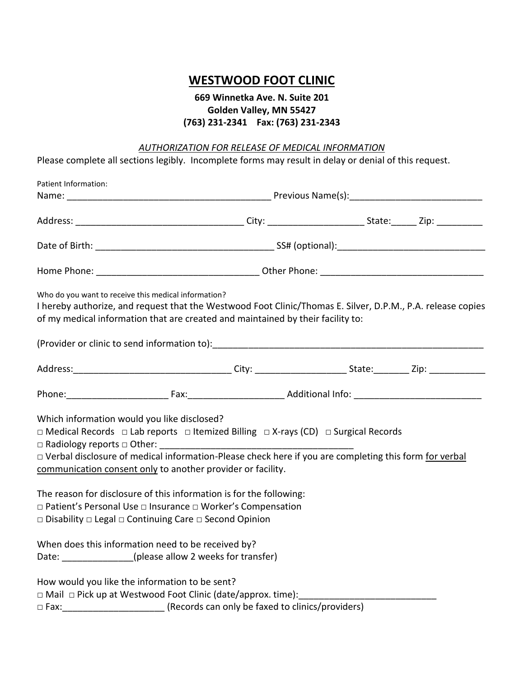## **WESTWOOD FOOT CLINIC**

## **669 Winnetka Ave. N. Suite 201 Golden Valley, MN 55427 (763) 231-2341 Fax: (763) 231-2343**

## *AUTHORIZATION FOR RELEASE OF MEDICAL INFORMATION*

Please complete all sections legibly. Incomplete forms may result in delay or denial of this request.

| Patient Information:                                                                                                                                                                                                                                                                                                                                                          |  |  |  |  |
|-------------------------------------------------------------------------------------------------------------------------------------------------------------------------------------------------------------------------------------------------------------------------------------------------------------------------------------------------------------------------------|--|--|--|--|
|                                                                                                                                                                                                                                                                                                                                                                               |  |  |  |  |
|                                                                                                                                                                                                                                                                                                                                                                               |  |  |  |  |
|                                                                                                                                                                                                                                                                                                                                                                               |  |  |  |  |
|                                                                                                                                                                                                                                                                                                                                                                               |  |  |  |  |
| Who do you want to receive this medical information?<br>I hereby authorize, and request that the Westwood Foot Clinic/Thomas E. Silver, D.P.M., P.A. release copies<br>of my medical information that are created and maintained by their facility to:<br>(Provider or clinic to send information to): [14] (Provider or clinical provider or clinic to send information to): |  |  |  |  |
|                                                                                                                                                                                                                                                                                                                                                                               |  |  |  |  |
|                                                                                                                                                                                                                                                                                                                                                                               |  |  |  |  |
| Which information would you like disclosed?<br>$\Box$ Medical Records $\Box$ Lab reports $\Box$ Itemized Billing $\Box$ X-rays (CD) $\Box$ Surgical Records<br>□ Verbal disclosure of medical information-Please check here if you are completing this form for verbal<br>communication consent only to another provider or facility.                                         |  |  |  |  |
| The reason for disclosure of this information is for the following:<br>□ Patient's Personal Use □ Insurance □ Worker's Compensation<br>□ Disability □ Legal □ Continuing Care □ Second Opinion                                                                                                                                                                                |  |  |  |  |
| When does this information need to be received by?<br>Date: _____________(please allow 2 weeks for transfer)                                                                                                                                                                                                                                                                  |  |  |  |  |
| How would you like the information to be sent?<br>□ Fax: __________________________(Records can only be faxed to clinics/providers)                                                                                                                                                                                                                                           |  |  |  |  |